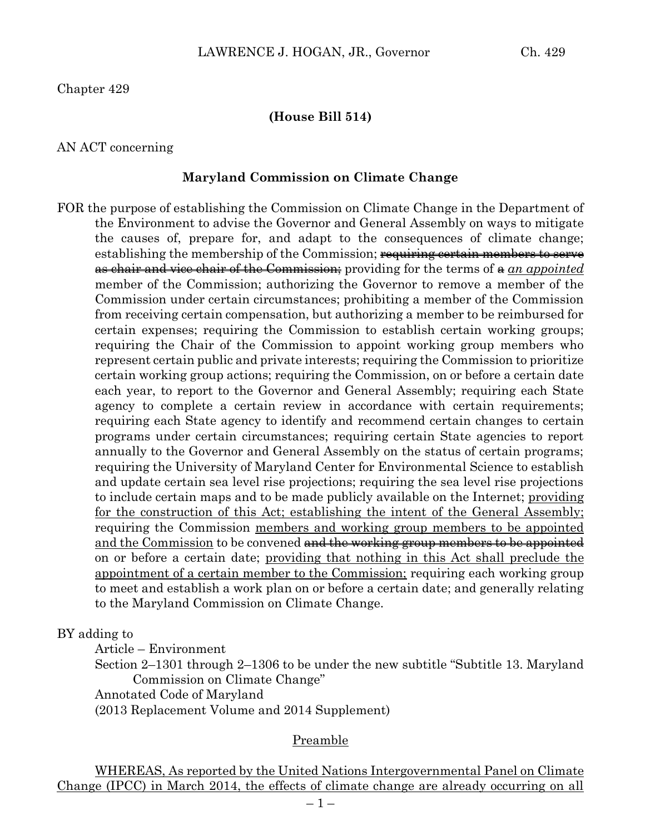Chapter 429

## **(House Bill 514)**

#### AN ACT concerning

#### **Maryland Commission on Climate Change**

FOR the purpose of establishing the Commission on Climate Change in the Department of the Environment to advise the Governor and General Assembly on ways to mitigate the causes of, prepare for, and adapt to the consequences of climate change; establishing the membership of the Commission; requiring certain members to serve as chair and vice chair of the Commission; providing for the terms of a *an appointed* member of the Commission; authorizing the Governor to remove a member of the Commission under certain circumstances; prohibiting a member of the Commission from receiving certain compensation, but authorizing a member to be reimbursed for certain expenses; requiring the Commission to establish certain working groups; requiring the Chair of the Commission to appoint working group members who represent certain public and private interests; requiring the Commission to prioritize certain working group actions; requiring the Commission, on or before a certain date each year, to report to the Governor and General Assembly; requiring each State agency to complete a certain review in accordance with certain requirements; requiring each State agency to identify and recommend certain changes to certain programs under certain circumstances; requiring certain State agencies to report annually to the Governor and General Assembly on the status of certain programs; requiring the University of Maryland Center for Environmental Science to establish and update certain sea level rise projections; requiring the sea level rise projections to include certain maps and to be made publicly available on the Internet; providing for the construction of this Act; establishing the intent of the General Assembly; requiring the Commission members and working group members to be appointed and the Commission to be convened and the working group members to be appointed on or before a certain date; providing that nothing in this Act shall preclude the appointment of a certain member to the Commission; requiring each working group to meet and establish a work plan on or before a certain date; and generally relating to the Maryland Commission on Climate Change.

### BY adding to

Article – Environment

Section 2–1301 through 2–1306 to be under the new subtitle "Subtitle 13. Maryland Commission on Climate Change"

Annotated Code of Maryland

(2013 Replacement Volume and 2014 Supplement)

### Preamble

WHEREAS, As reported by the United Nations Intergovernmental Panel on Climate Change (IPCC) in March 2014, the effects of climate change are already occurring on all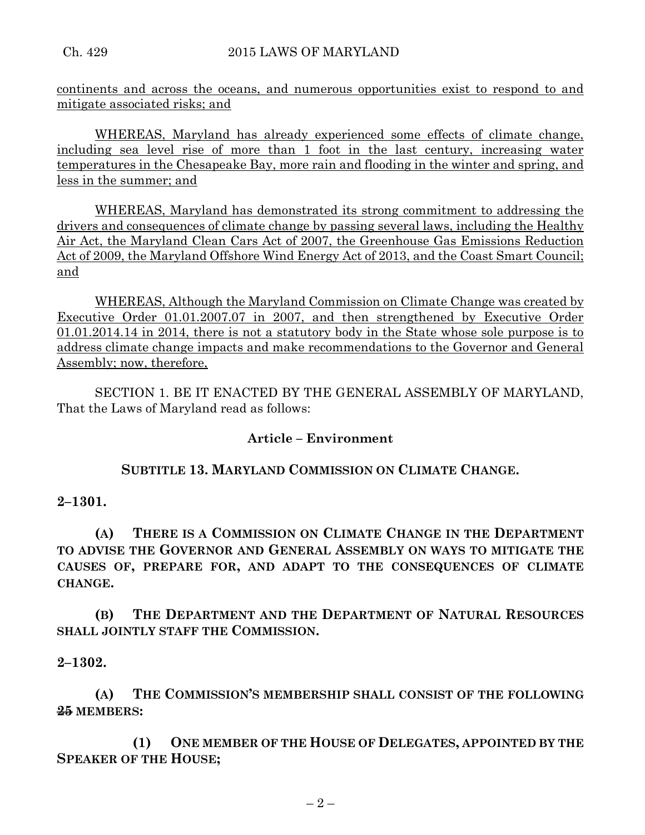continents and across the oceans, and numerous opportunities exist to respond to and mitigate associated risks; and

WHEREAS, Maryland has already experienced some effects of climate change, including sea level rise of more than 1 foot in the last century, increasing water temperatures in the Chesapeake Bay, more rain and flooding in the winter and spring, and less in the summer; and

WHEREAS, Maryland has demonstrated its strong commitment to addressing the drivers and consequences of climate change by passing several laws, including the Healthy Air Act, the Maryland Clean Cars Act of 2007, the Greenhouse Gas Emissions Reduction Act of 2009, the Maryland Offshore Wind Energy Act of 2013, and the Coast Smart Council; and

WHEREAS, Although the Maryland Commission on Climate Change was created by Executive Order 01.01.2007.07 in 2007, and then strengthened by Executive Order 01.01.2014.14 in 2014, there is not a statutory body in the State whose sole purpose is to address climate change impacts and make recommendations to the Governor and General Assembly; now, therefore,

SECTION 1. BE IT ENACTED BY THE GENERAL ASSEMBLY OF MARYLAND, That the Laws of Maryland read as follows:

## **Article – Environment**

## **SUBTITLE 13. MARYLAND COMMISSION ON CLIMATE CHANGE.**

## **2–1301.**

**(A) THERE IS A COMMISSION ON CLIMATE CHANGE IN THE DEPARTMENT TO ADVISE THE GOVERNOR AND GENERAL ASSEMBLY ON WAYS TO MITIGATE THE CAUSES OF, PREPARE FOR, AND ADAPT TO THE CONSEQUENCES OF CLIMATE CHANGE.**

**(B) THE DEPARTMENT AND THE DEPARTMENT OF NATURAL RESOURCES SHALL JOINTLY STAFF THE COMMISSION.**

## **2–1302.**

**(A) THE COMMISSION'S MEMBERSHIP SHALL CONSIST OF THE FOLLOWING 25 MEMBERS:**

**(1) ONE MEMBER OF THE HOUSE OF DELEGATES, APPOINTED BY THE SPEAKER OF THE HOUSE;**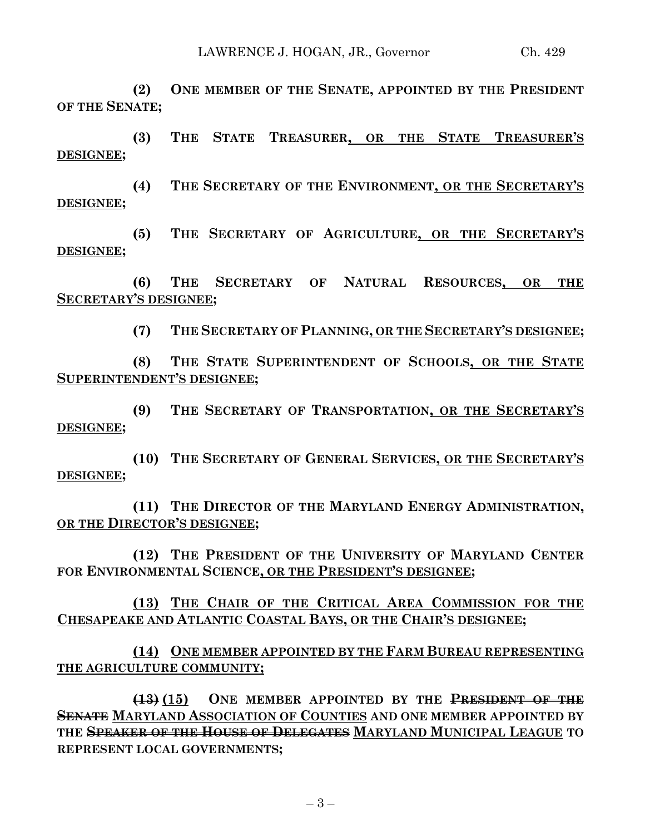**(2) ONE MEMBER OF THE SENATE, APPOINTED BY THE PRESIDENT OF THE SENATE;**

**(3) THE STATE TREASURER, OR THE STATE TREASURER'S DESIGNEE;**

**(4) THE SECRETARY OF THE ENVIRONMENT, OR THE SECRETARY'S DESIGNEE;**

**(5) THE SECRETARY OF AGRICULTURE, OR THE SECRETARY'S DESIGNEE;**

**(6) THE SECRETARY OF NATURAL RESOURCES, OR THE SECRETARY'S DESIGNEE;**

**(7) THE SECRETARY OF PLANNING, OR THE SECRETARY'S DESIGNEE;**

**(8) THE STATE SUPERINTENDENT OF SCHOOLS, OR THE STATE SUPERINTENDENT'S DESIGNEE;**

**(9) THE SECRETARY OF TRANSPORTATION, OR THE SECRETARY'S DESIGNEE;**

**(10) THE SECRETARY OF GENERAL SERVICES, OR THE SECRETARY'S DESIGNEE;**

**(11) THE DIRECTOR OF THE MARYLAND ENERGY ADMINISTRATION, OR THE DIRECTOR'S DESIGNEE;**

**(12) THE PRESIDENT OF THE UNIVERSITY OF MARYLAND CENTER FOR ENVIRONMENTAL SCIENCE, OR THE PRESIDENT'S DESIGNEE;**

**(13) THE CHAIR OF THE CRITICAL AREA COMMISSION FOR THE CHESAPEAKE AND ATLANTIC COASTAL BAYS, OR THE CHAIR'S DESIGNEE;**

**(14) ONE MEMBER APPOINTED BY THE FARM BUREAU REPRESENTING THE AGRICULTURE COMMUNITY;**

**(13) (15) ONE MEMBER APPOINTED BY THE PRESIDENT OF THE SENATE MARYLAND ASSOCIATION OF COUNTIES AND ONE MEMBER APPOINTED BY THE SPEAKER OF THE HOUSE OF DELEGATES MARYLAND MUNICIPAL LEAGUE TO REPRESENT LOCAL GOVERNMENTS;**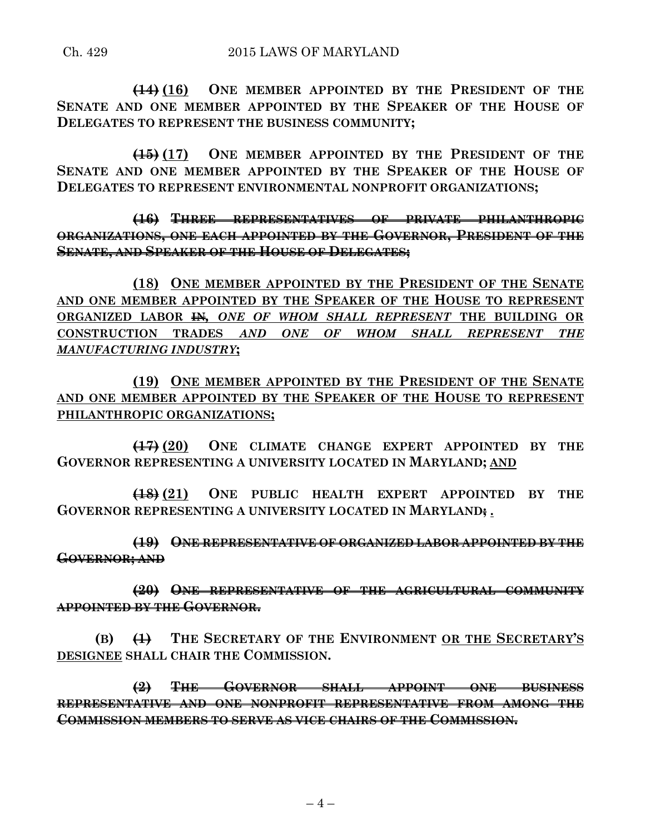**(14) (16) ONE MEMBER APPOINTED BY THE PRESIDENT OF THE SENATE AND ONE MEMBER APPOINTED BY THE SPEAKER OF THE HOUSE OF DELEGATES TO REPRESENT THE BUSINESS COMMUNITY;**

**(15) (17) ONE MEMBER APPOINTED BY THE PRESIDENT OF THE SENATE AND ONE MEMBER APPOINTED BY THE SPEAKER OF THE HOUSE OF DELEGATES TO REPRESENT ENVIRONMENTAL NONPROFIT ORGANIZATIONS;**

**(16) THREE REPRESENTATIVES OF PRIVATE PHILANTHROPIC ORGANIZATIONS, ONE EACH APPOINTED BY THE GOVERNOR, PRESIDENT OF THE SENATE, AND SPEAKER OF THE HOUSE OF DELEGATES;**

**(18) ONE MEMBER APPOINTED BY THE PRESIDENT OF THE SENATE AND ONE MEMBER APPOINTED BY THE SPEAKER OF THE HOUSE TO REPRESENT ORGANIZED LABOR IN***, ONE OF WHOM SHALL REPRESENT* **THE BUILDING OR CONSTRUCTION TRADES** *AND ONE OF WHOM SHALL REPRESENT THE MANUFACTURING INDUSTRY***;**

**(19) ONE MEMBER APPOINTED BY THE PRESIDENT OF THE SENATE AND ONE MEMBER APPOINTED BY THE SPEAKER OF THE HOUSE TO REPRESENT PHILANTHROPIC ORGANIZATIONS;**

**(17) (20) ONE CLIMATE CHANGE EXPERT APPOINTED BY THE GOVERNOR REPRESENTING A UNIVERSITY LOCATED IN MARYLAND; AND**

**(18) (21) ONE PUBLIC HEALTH EXPERT APPOINTED BY THE GOVERNOR REPRESENTING A UNIVERSITY LOCATED IN MARYLAND; .**

**(19) ONE REPRESENTATIVE OF ORGANIZED LABOR APPOINTED BY THE GOVERNOR; AND**

**(20) ONE REPRESENTATIVE OF THE AGRICULTURAL COMMUNITY APPOINTED BY THE GOVERNOR.**

**(B) (1) THE SECRETARY OF THE ENVIRONMENT OR THE SECRETARY'S DESIGNEE SHALL CHAIR THE COMMISSION.**

**(2) THE GOVERNOR SHALL APPOINT ONE BUSINESS REPRESENTATIVE AND ONE NONPROFIT REPRESENTATIVE FROM AMONG THE COMMISSION MEMBERS TO SERVE AS VICE CHAIRS OF THE COMMISSION.**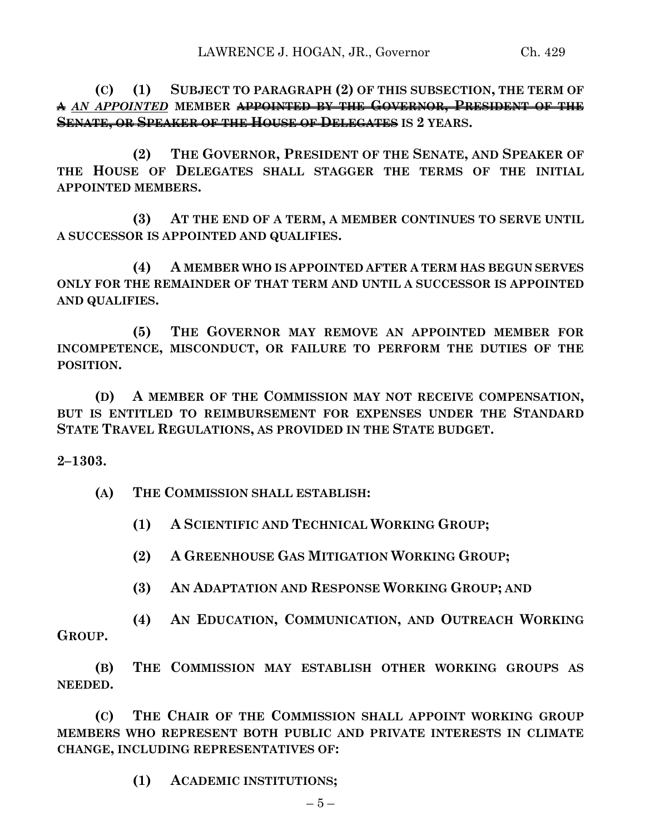**(C) (1) SUBJECT TO PARAGRAPH (2) OF THIS SUBSECTION, THE TERM OF A** *AN APPOINTED* **MEMBER APPOINTED BY THE GOVERNOR, PRESIDENT OF THE SENATE, OR SPEAKER OF THE HOUSE OF DELEGATES IS 2 YEARS.**

**(2) THE GOVERNOR, PRESIDENT OF THE SENATE, AND SPEAKER OF THE HOUSE OF DELEGATES SHALL STAGGER THE TERMS OF THE INITIAL APPOINTED MEMBERS.**

**(3) AT THE END OF A TERM, A MEMBER CONTINUES TO SERVE UNTIL A SUCCESSOR IS APPOINTED AND QUALIFIES.**

**(4) A MEMBER WHO IS APPOINTED AFTER A TERM HAS BEGUN SERVES ONLY FOR THE REMAINDER OF THAT TERM AND UNTIL A SUCCESSOR IS APPOINTED AND QUALIFIES.**

**(5) THE GOVERNOR MAY REMOVE AN APPOINTED MEMBER FOR INCOMPETENCE, MISCONDUCT, OR FAILURE TO PERFORM THE DUTIES OF THE POSITION.**

**(D) A MEMBER OF THE COMMISSION MAY NOT RECEIVE COMPENSATION, BUT IS ENTITLED TO REIMBURSEMENT FOR EXPENSES UNDER THE STANDARD STATE TRAVEL REGULATIONS, AS PROVIDED IN THE STATE BUDGET.**

**2–1303.**

**(A) THE COMMISSION SHALL ESTABLISH:**

**(1) A SCIENTIFIC AND TECHNICAL WORKING GROUP;**

**(2) A GREENHOUSE GAS MITIGATION WORKING GROUP;**

**(3) AN ADAPTATION AND RESPONSE WORKING GROUP; AND**

**(4) AN EDUCATION, COMMUNICATION, AND OUTREACH WORKING GROUP.**

**(B) THE COMMISSION MAY ESTABLISH OTHER WORKING GROUPS AS NEEDED.**

**(C) THE CHAIR OF THE COMMISSION SHALL APPOINT WORKING GROUP MEMBERS WHO REPRESENT BOTH PUBLIC AND PRIVATE INTERESTS IN CLIMATE CHANGE, INCLUDING REPRESENTATIVES OF:**

**(1) ACADEMIC INSTITUTIONS;**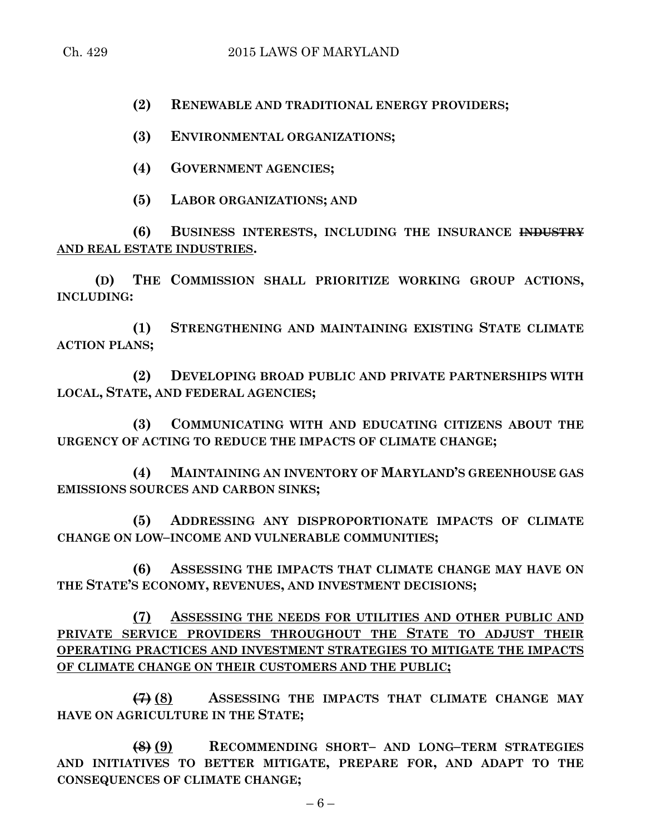**(2) RENEWABLE AND TRADITIONAL ENERGY PROVIDERS;**

**(3) ENVIRONMENTAL ORGANIZATIONS;**

**(4) GOVERNMENT AGENCIES;**

**(5) LABOR ORGANIZATIONS; AND**

**(6) BUSINESS INTERESTS, INCLUDING THE INSURANCE INDUSTRY AND REAL ESTATE INDUSTRIES.**

**(D) THE COMMISSION SHALL PRIORITIZE WORKING GROUP ACTIONS, INCLUDING:**

**(1) STRENGTHENING AND MAINTAINING EXISTING STATE CLIMATE ACTION PLANS;**

**(2) DEVELOPING BROAD PUBLIC AND PRIVATE PARTNERSHIPS WITH LOCAL, STATE, AND FEDERAL AGENCIES;**

**(3) COMMUNICATING WITH AND EDUCATING CITIZENS ABOUT THE URGENCY OF ACTING TO REDUCE THE IMPACTS OF CLIMATE CHANGE;**

**(4) MAINTAINING AN INVENTORY OF MARYLAND'S GREENHOUSE GAS EMISSIONS SOURCES AND CARBON SINKS;**

**(5) ADDRESSING ANY DISPROPORTIONATE IMPACTS OF CLIMATE CHANGE ON LOW–INCOME AND VULNERABLE COMMUNITIES;**

**(6) ASSESSING THE IMPACTS THAT CLIMATE CHANGE MAY HAVE ON THE STATE'S ECONOMY, REVENUES, AND INVESTMENT DECISIONS;**

**(7) ASSESSING THE NEEDS FOR UTILITIES AND OTHER PUBLIC AND PRIVATE SERVICE PROVIDERS THROUGHOUT THE STATE TO ADJUST THEIR OPERATING PRACTICES AND INVESTMENT STRATEGIES TO MITIGATE THE IMPACTS OF CLIMATE CHANGE ON THEIR CUSTOMERS AND THE PUBLIC;**

**(7) (8) ASSESSING THE IMPACTS THAT CLIMATE CHANGE MAY HAVE ON AGRICULTURE IN THE STATE;**

**(8) (9) RECOMMENDING SHORT– AND LONG–TERM STRATEGIES AND INITIATIVES TO BETTER MITIGATE, PREPARE FOR, AND ADAPT TO THE CONSEQUENCES OF CLIMATE CHANGE;**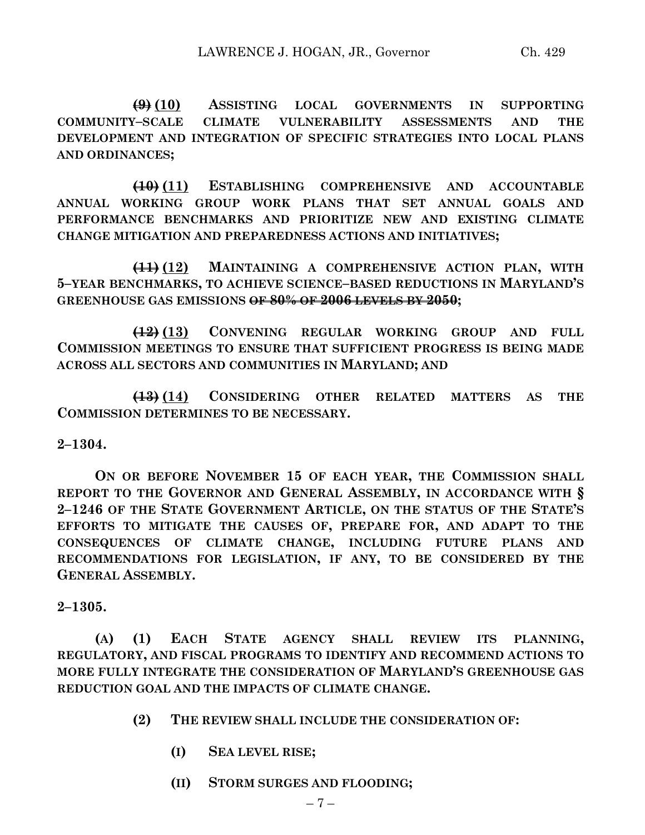**(9) (10) ASSISTING LOCAL GOVERNMENTS IN SUPPORTING COMMUNITY–SCALE CLIMATE VULNERABILITY ASSESSMENTS AND THE DEVELOPMENT AND INTEGRATION OF SPECIFIC STRATEGIES INTO LOCAL PLANS AND ORDINANCES;**

**(10) (11) ESTABLISHING COMPREHENSIVE AND ACCOUNTABLE ANNUAL WORKING GROUP WORK PLANS THAT SET ANNUAL GOALS AND PERFORMANCE BENCHMARKS AND PRIORITIZE NEW AND EXISTING CLIMATE CHANGE MITIGATION AND PREPAREDNESS ACTIONS AND INITIATIVES;**

**(11) (12) MAINTAINING A COMPREHENSIVE ACTION PLAN, WITH 5–YEAR BENCHMARKS, TO ACHIEVE SCIENCE–BASED REDUCTIONS IN MARYLAND'S GREENHOUSE GAS EMISSIONS OF 80% OF 2006 LEVELS BY 2050;**

**(12) (13) CONVENING REGULAR WORKING GROUP AND FULL COMMISSION MEETINGS TO ENSURE THAT SUFFICIENT PROGRESS IS BEING MADE ACROSS ALL SECTORS AND COMMUNITIES IN MARYLAND; AND**

**(13) (14) CONSIDERING OTHER RELATED MATTERS AS THE COMMISSION DETERMINES TO BE NECESSARY.**

**2–1304.**

**ON OR BEFORE NOVEMBER 15 OF EACH YEAR, THE COMMISSION SHALL REPORT TO THE GOVERNOR AND GENERAL ASSEMBLY, IN ACCORDANCE WITH § 2–1246 OF THE STATE GOVERNMENT ARTICLE, ON THE STATUS OF THE STATE'S EFFORTS TO MITIGATE THE CAUSES OF, PREPARE FOR, AND ADAPT TO THE CONSEQUENCES OF CLIMATE CHANGE, INCLUDING FUTURE PLANS AND RECOMMENDATIONS FOR LEGISLATION, IF ANY, TO BE CONSIDERED BY THE GENERAL ASSEMBLY.**

**2–1305.**

**(A) (1) EACH STATE AGENCY SHALL REVIEW ITS PLANNING, REGULATORY, AND FISCAL PROGRAMS TO IDENTIFY AND RECOMMEND ACTIONS TO MORE FULLY INTEGRATE THE CONSIDERATION OF MARYLAND'S GREENHOUSE GAS REDUCTION GOAL AND THE IMPACTS OF CLIMATE CHANGE.**

- **(2) THE REVIEW SHALL INCLUDE THE CONSIDERATION OF:**
	- **(I) SEA LEVEL RISE;**
	- **(II) STORM SURGES AND FLOODING;**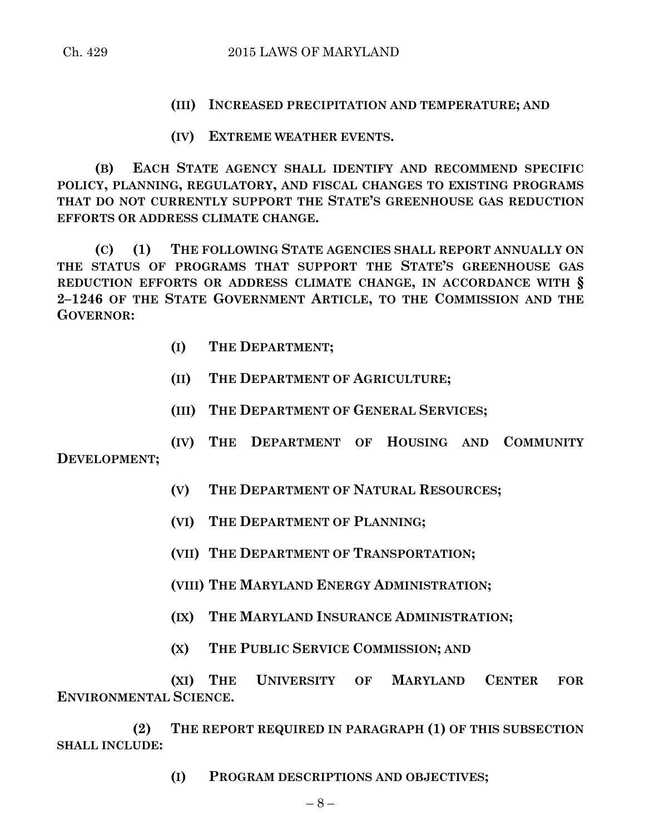**(III) INCREASED PRECIPITATION AND TEMPERATURE; AND**

**(IV) EXTREME WEATHER EVENTS.**

**(B) EACH STATE AGENCY SHALL IDENTIFY AND RECOMMEND SPECIFIC POLICY, PLANNING, REGULATORY, AND FISCAL CHANGES TO EXISTING PROGRAMS THAT DO NOT CURRENTLY SUPPORT THE STATE'S GREENHOUSE GAS REDUCTION EFFORTS OR ADDRESS CLIMATE CHANGE.**

**(C) (1) THE FOLLOWING STATE AGENCIES SHALL REPORT ANNUALLY ON THE STATUS OF PROGRAMS THAT SUPPORT THE STATE'S GREENHOUSE GAS REDUCTION EFFORTS OR ADDRESS CLIMATE CHANGE, IN ACCORDANCE WITH § 2–1246 OF THE STATE GOVERNMENT ARTICLE, TO THE COMMISSION AND THE GOVERNOR:**

- **(I) THE DEPARTMENT;**
- **(II) THE DEPARTMENT OF AGRICULTURE;**
- **(III) THE DEPARTMENT OF GENERAL SERVICES;**

**(IV) THE DEPARTMENT OF HOUSING AND COMMUNITY DEVELOPMENT;**

- **(V) THE DEPARTMENT OF NATURAL RESOURCES;**
- **(VI) THE DEPARTMENT OF PLANNING;**
- **(VII) THE DEPARTMENT OF TRANSPORTATION;**
- **(VIII) THE MARYLAND ENERGY ADMINISTRATION;**
- **(IX) THE MARYLAND INSURANCE ADMINISTRATION;**
- **(X) THE PUBLIC SERVICE COMMISSION; AND**

**(XI) THE UNIVERSITY OF MARYLAND CENTER FOR ENVIRONMENTAL SCIENCE.**

**(2) THE REPORT REQUIRED IN PARAGRAPH (1) OF THIS SUBSECTION SHALL INCLUDE:**

**(I) PROGRAM DESCRIPTIONS AND OBJECTIVES;**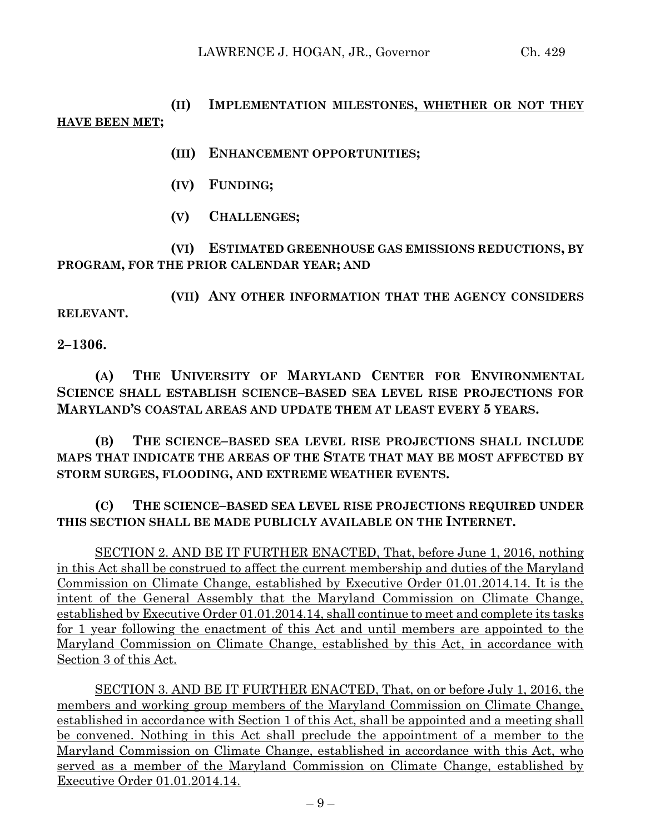# **(II) IMPLEMENTATION MILESTONES, WHETHER OR NOT THEY HAVE BEEN MET;**

- **(III) ENHANCEMENT OPPORTUNITIES;**
- **(IV) FUNDING;**
- **(V) CHALLENGES;**

**(VI) ESTIMATED GREENHOUSE GAS EMISSIONS REDUCTIONS, BY PROGRAM, FOR THE PRIOR CALENDAR YEAR; AND**

**(VII) ANY OTHER INFORMATION THAT THE AGENCY CONSIDERS RELEVANT.**

**2–1306.**

**(A) THE UNIVERSITY OF MARYLAND CENTER FOR ENVIRONMENTAL SCIENCE SHALL ESTABLISH SCIENCE–BASED SEA LEVEL RISE PROJECTIONS FOR MARYLAND'S COASTAL AREAS AND UPDATE THEM AT LEAST EVERY 5 YEARS.**

**(B) THE SCIENCE–BASED SEA LEVEL RISE PROJECTIONS SHALL INCLUDE MAPS THAT INDICATE THE AREAS OF THE STATE THAT MAY BE MOST AFFECTED BY STORM SURGES, FLOODING, AND EXTREME WEATHER EVENTS.**

**(C) THE SCIENCE–BASED SEA LEVEL RISE PROJECTIONS REQUIRED UNDER THIS SECTION SHALL BE MADE PUBLICLY AVAILABLE ON THE INTERNET.**

SECTION 2. AND BE IT FURTHER ENACTED, That, before June 1, 2016, nothing in this Act shall be construed to affect the current membership and duties of the Maryland Commission on Climate Change, established by Executive Order 01.01.2014.14. It is the intent of the General Assembly that the Maryland Commission on Climate Change, established by Executive Order 01.01.2014.14, shall continue to meet and complete its tasks for 1 year following the enactment of this Act and until members are appointed to the Maryland Commission on Climate Change, established by this Act, in accordance with Section 3 of this Act.

SECTION 3. AND BE IT FURTHER ENACTED, That, on or before July 1, 2016, the members and working group members of the Maryland Commission on Climate Change, established in accordance with Section 1 of this Act, shall be appointed and a meeting shall be convened. Nothing in this Act shall preclude the appointment of a member to the Maryland Commission on Climate Change, established in accordance with this Act, who served as a member of the Maryland Commission on Climate Change, established by Executive Order 01.01.2014.14.